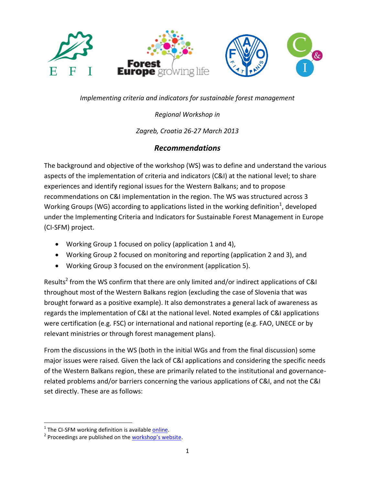

*Implementing criteria and indicators for sustainable forest management*

*Regional Workshop in*

## *Zagreb, Croatia 26-27 March 2013*

## *Recommendations*

The background and objective of the workshop (WS) was to define and understand the various aspects of the implementation of criteria and indicators (C&I) at the national level; to share experiences and identify regional issues for the Western Balkans; and to propose recommendations on C&I implementation in the region. The WS was structured across 3 Working Groups (WG) according to applications listed in the working definition<sup>1</sup>, developed under the Implementing Criteria and Indicators for Sustainable Forest Management in Europe (CI-SFM) project.

- Working Group 1 focused on policy (application 1 and 4),
- Working Group 2 focused on monitoring and reporting (application 2 and 3), and
- Working Group 3 focused on the environment (application 5).

Results<sup>2</sup> from the WS confirm that there are only limited and/or indirect applications of C&I throughout most of the Western Balkans region (excluding the case of Slovenia that was brought forward as a positive example). It also demonstrates a general lack of awareness as regards the implementation of C&I at the national level. Noted examples of C&I applications were certification (e.g. FSC) or international and national reporting (e.g. FAO, UNECE or by relevant ministries or through forest management plans).

From the discussions in the WS (both in the initial WGs and from the final discussion) some major issues were raised. Given the lack of C&I applications and considering the specific needs of the Western Balkans region, these are primarily related to the institutional and governancerelated problems and/or barriers concerning the various applications of C&I, and not the C&I set directly. These are as follows:

l <sup>1</sup> The CI-SFM working definition is available **online**.

<sup>&</sup>lt;sup>2</sup> Proceedings are published on the [workshop's website](http://www.ci-sfm.org/CI-SFM-regional_workshop_in_zagreb__croatia_26-27_march_2013.html).